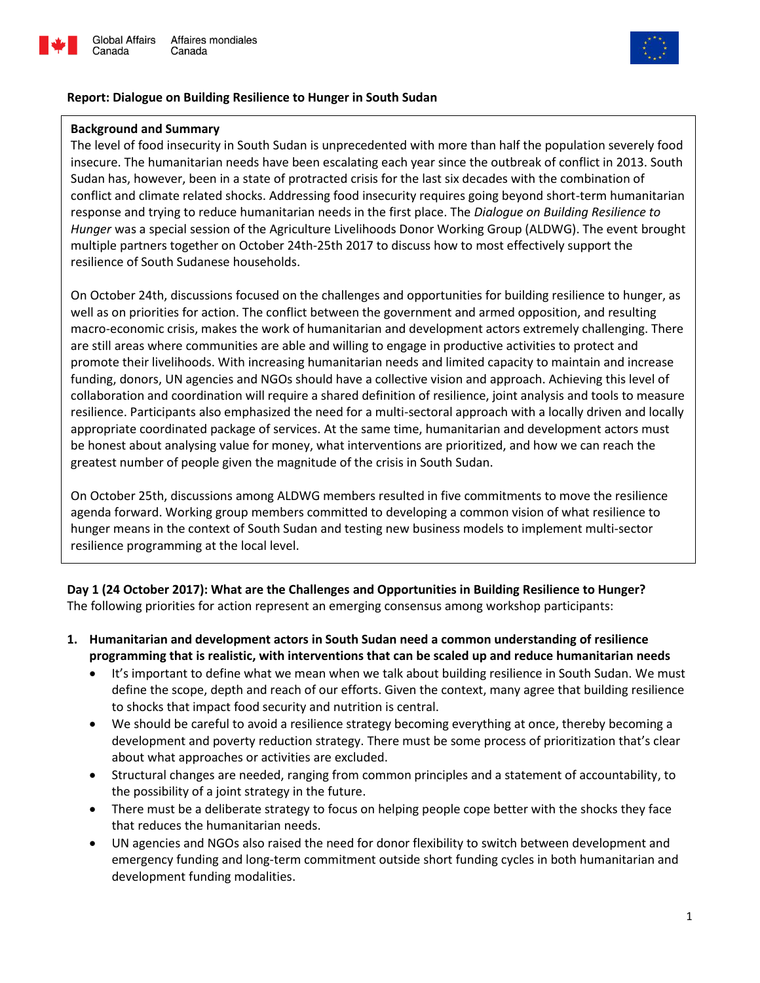



### **Report: Dialogue on Building Resilience to Hunger in South Sudan**

#### **Background and Summary**

Canada

The level of food insecurity in South Sudan is unprecedented with more than half the population severely food insecure. The humanitarian needs have been escalating each year since the outbreak of conflict in 2013. South Sudan has, however, been in a state of protracted crisis for the last six decades with the combination of conflict and climate related shocks. Addressing food insecurity requires going beyond short-term humanitarian response and trying to reduce humanitarian needs in the first place. The *Dialogue on Building Resilience to Hunger* was a special session of the Agriculture Livelihoods Donor Working Group (ALDWG). The event brought multiple partners together on October 24th-25th 2017 to discuss how to most effectively support the resilience of South Sudanese households.

On October 24th, discussions focused on the challenges and opportunities for building resilience to hunger, as well as on priorities for action. The conflict between the government and armed opposition, and resulting macro-economic crisis, makes the work of humanitarian and development actors extremely challenging. There are still areas where communities are able and willing to engage in productive activities to protect and promote their livelihoods. With increasing humanitarian needs and limited capacity to maintain and increase funding, donors, UN agencies and NGOs should have a collective vision and approach. Achieving this level of collaboration and coordination will require a shared definition of resilience, joint analysis and tools to measure resilience. Participants also emphasized the need for a multi-sectoral approach with a locally driven and locally appropriate coordinated package of services. At the same time, humanitarian and development actors must be honest about analysing value for money, what interventions are prioritized, and how we can reach the greatest number of people given the magnitude of the crisis in South Sudan.

On October 25th, discussions among ALDWG members resulted in five commitments to move the resilience agenda forward. Working group members committed to developing a common vision of what resilience to hunger means in the context of South Sudan and testing new business models to implement multi-sector resilience programming at the local level.

**Day 1 (24 October 2017): What are the Challenges and Opportunities in Building Resilience to Hunger?** The following priorities for action represent an emerging consensus among workshop participants:

- **1. Humanitarian and development actors in South Sudan need a common understanding of resilience programming that is realistic, with interventions that can be scaled up and reduce humanitarian needs** 
	- It's important to define what we mean when we talk about building resilience in South Sudan. We must define the scope, depth and reach of our efforts. Given the context, many agree that building resilience to shocks that impact food security and nutrition is central.
	- We should be careful to avoid a resilience strategy becoming everything at once, thereby becoming a development and poverty reduction strategy. There must be some process of prioritization that's clear about what approaches or activities are excluded.
	- Structural changes are needed, ranging from common principles and a statement of accountability, to the possibility of a joint strategy in the future.
	- There must be a deliberate strategy to focus on helping people cope better with the shocks they face that reduces the humanitarian needs.
	- UN agencies and NGOs also raised the need for donor flexibility to switch between development and emergency funding and long-term commitment outside short funding cycles in both humanitarian and development funding modalities.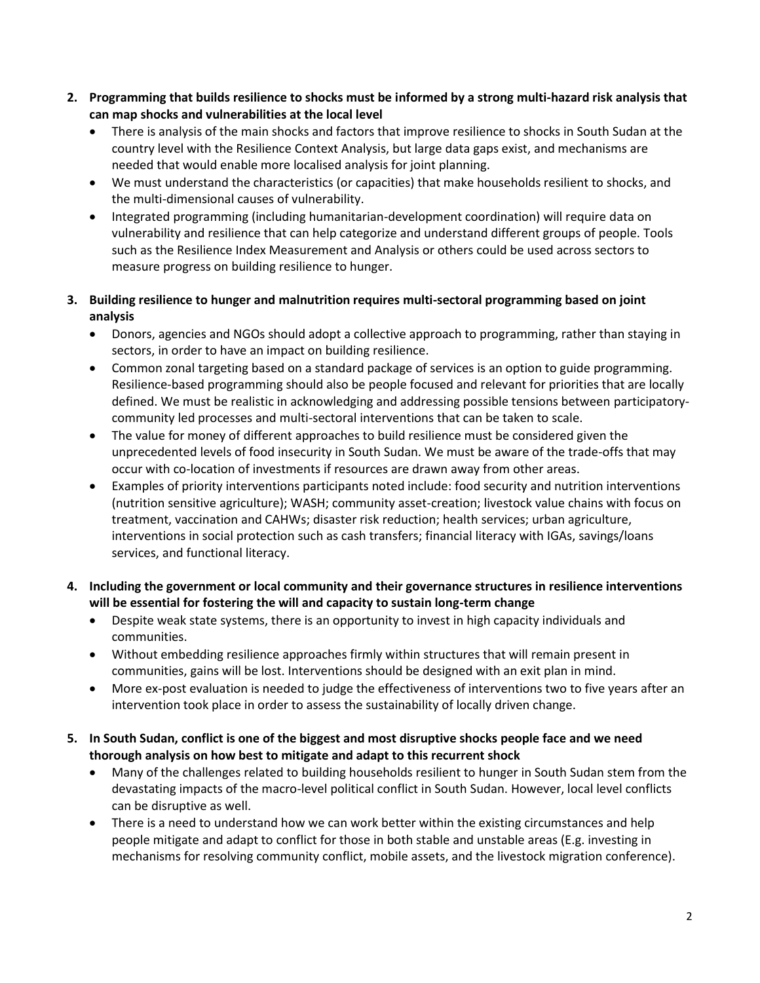- **2. Programming that builds resilience to shocks must be informed by a strong multi-hazard risk analysis that can map shocks and vulnerabilities at the local level**
	- There is analysis of the main shocks and factors that improve resilience to shocks in South Sudan at the country level with the Resilience Context Analysis, but large data gaps exist, and mechanisms are needed that would enable more localised analysis for joint planning.
	- We must understand the characteristics (or capacities) that make households resilient to shocks, and the multi-dimensional causes of vulnerability.
	- Integrated programming (including humanitarian-development coordination) will require data on vulnerability and resilience that can help categorize and understand different groups of people. Tools such as the Resilience Index Measurement and Analysis or others could be used across sectors to measure progress on building resilience to hunger.
- **3. Building resilience to hunger and malnutrition requires multi-sectoral programming based on joint analysis**
	- Donors, agencies and NGOs should adopt a collective approach to programming, rather than staying in sectors, in order to have an impact on building resilience.
	- Common zonal targeting based on a standard package of services is an option to guide programming. Resilience-based programming should also be people focused and relevant for priorities that are locally defined. We must be realistic in acknowledging and addressing possible tensions between participatorycommunity led processes and multi-sectoral interventions that can be taken to scale.
	- The value for money of different approaches to build resilience must be considered given the unprecedented levels of food insecurity in South Sudan. We must be aware of the trade-offs that may occur with co-location of investments if resources are drawn away from other areas.
	- Examples of priority interventions participants noted include: food security and nutrition interventions (nutrition sensitive agriculture); WASH; community asset-creation; livestock value chains with focus on treatment, vaccination and CAHWs; disaster risk reduction; health services; urban agriculture, interventions in social protection such as cash transfers; financial literacy with IGAs, savings/loans services, and functional literacy.
- **4. Including the government or local community and their governance structures in resilience interventions will be essential for fostering the will and capacity to sustain long-term change**
	- Despite weak state systems, there is an opportunity to invest in high capacity individuals and communities.
	- Without embedding resilience approaches firmly within structures that will remain present in communities, gains will be lost. Interventions should be designed with an exit plan in mind.
	- More ex-post evaluation is needed to judge the effectiveness of interventions two to five years after an intervention took place in order to assess the sustainability of locally driven change.
- **5. In South Sudan, conflict is one of the biggest and most disruptive shocks people face and we need thorough analysis on how best to mitigate and adapt to this recurrent shock**
	- Many of the challenges related to building households resilient to hunger in South Sudan stem from the devastating impacts of the macro-level political conflict in South Sudan. However, local level conflicts can be disruptive as well.
	- There is a need to understand how we can work better within the existing circumstances and help people mitigate and adapt to conflict for those in both stable and unstable areas (E.g. investing in mechanisms for resolving community conflict, mobile assets, and the livestock migration conference).